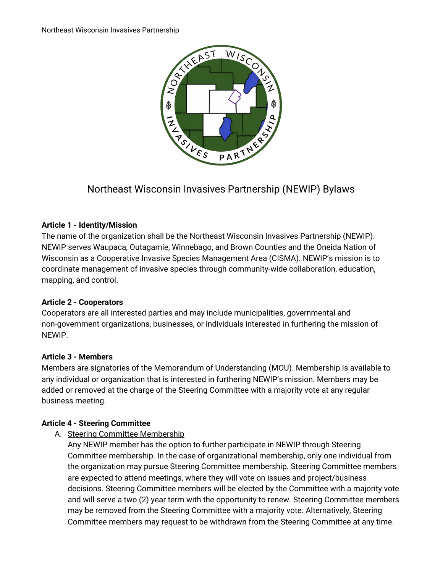

# Northeast Wisconsin Invasives Partnership (NEWIP) Bylaws

## **Article 1 - Identity/Mission**

The name of the organization shall be the Northeast Wisconsin Invasives Partnership (NEWIP). NEWIP serves Waupaca, Outagamie, Winnebago, and Brown Counties and the Oneida Nation of Wisconsin as a Cooperative Invasive Species Management Area (CISMA). NEWIP's mission is to coordinate management of invasive species through community-wide collaboration, education, mapping, and control.

# **Article 2 - Cooperators**

Cooperators are all interested parties and may include municipalities, governmental and non-government organizations, businesses, or individuals interested in furthering the mission of NEWIP.

## **Article 3 - Members**

Members are signatories of the Memorandum of Understanding (MOU). Membership is available to any individual or organization that is interested in furthering NEWIP's mission. Members may be added or removed at the charge of the Steering Committee with a majority vote at any regular business meeting.

## **Article 4 - Steering Committee**

A. Steering Committee Membership

Any NEWIP member has the option to further participate in NEWIP through Steering Committee membership. In the case of organizational membership, only one individual from the organization may pursue Steering Committee membership. Steering Committee members are expected to attend meetings, where they will vote on issues and project/business decisions. Steering Committee members will be elected by the Committee with a majority vote and will serve a two (2) year term with the opportunity to renew. Steering Committee members may be removed from the Steering Committee with a majority vote. Alternatively, Steering Committee members may request to be withdrawn from the Steering Committee at any time.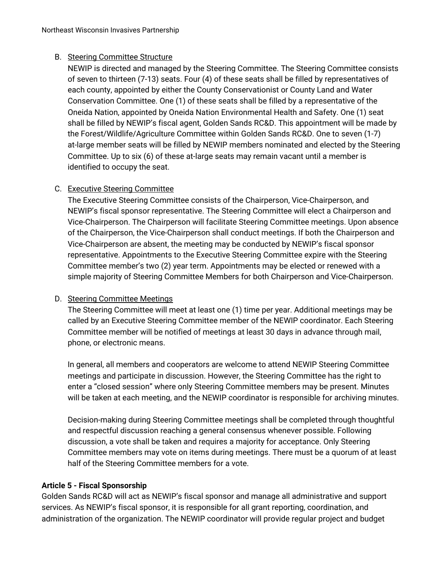## B. Steering Committee Structure

NEWIP is directed and managed by the Steering Committee. The Steering Committee consists of seven to thirteen (7-13) seats. Four (4) of these seats shall be filled by representatives of each county, appointed by either the County Conservationist or County Land and Water Conservation Committee. One (1) of these seats shall be filled by a representative of the Oneida Nation, appointed by Oneida Nation Environmental Health and Safety. One (1) seat shall be filled by NEWIP's fiscal agent, Golden Sands RC&D. This appointment will be made by the Forest/Wildlife/Agriculture Committee within Golden Sands RC&D. One to seven (1-7) at-large member seats will be filled by NEWIP members nominated and elected by the Steering Committee. Up to six (6) of these at-large seats may remain vacant until a member is identified to occupy the seat.

## C. Executive Steering Committee

The Executive Steering Committee consists of the Chairperson, Vice-Chairperson, and NEWIP's fiscal sponsor representative. The Steering Committee will elect a Chairperson and Vice-Chairperson. The Chairperson will facilitate Steering Committee meetings. Upon absence of the Chairperson, the Vice-Chairperson shall conduct meetings. If both the Chairperson and Vice-Chairperson are absent, the meeting may be conducted by NEWIP's fiscal sponsor representative. Appointments to the Executive Steering Committee expire with the Steering Committee member's two (2) year term. Appointments may be elected or renewed with a simple majority of Steering Committee Members for both Chairperson and Vice-Chairperson.

## D. Steering Committee Meetings

The Steering Committee will meet at least one (1) time per year. Additional meetings may be called by an Executive Steering Committee member of the NEWIP coordinator. Each Steering Committee member will be notified of meetings at least 30 days in advance through mail, phone, or electronic means.

In general, all members and cooperators are welcome to attend NEWIP Steering Committee meetings and participate in discussion. However, the Steering Committee has the right to enter a "closed session" where only Steering Committee members may be present. Minutes will be taken at each meeting, and the NEWIP coordinator is responsible for archiving minutes.

Decision-making during Steering Committee meetings shall be completed through thoughtful and respectful discussion reaching a general consensus whenever possible. Following discussion, a vote shall be taken and requires a majority for acceptance. Only Steering Committee members may vote on items during meetings. There must be a quorum of at least half of the Steering Committee members for a vote.

## **Article 5 - Fiscal Sponsorship**

Golden Sands RC&D will act as NEWIP's fiscal sponsor and manage all administrative and support services. As NEWIP's fiscal sponsor, it is responsible for all grant reporting, coordination, and administration of the organization. The NEWIP coordinator will provide regular project and budget